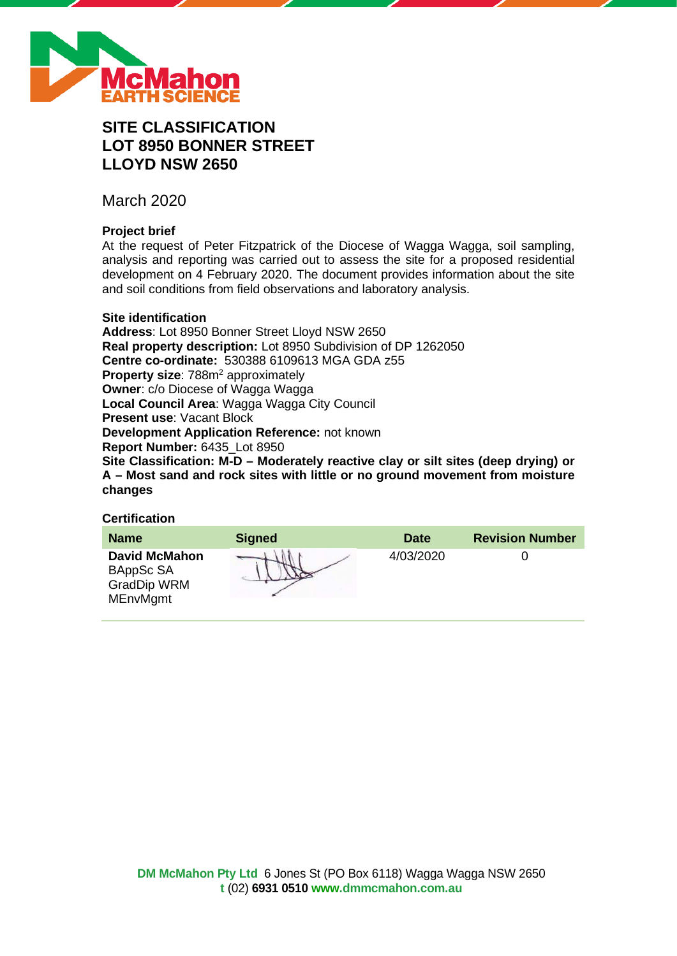

# **SITE CLASSIFICATION LOT 8950 BONNER STREET LLOYD NSW 2650**

March 2020

# **Project brief**

At the request of Peter Fitzpatrick of the Diocese of Wagga Wagga, soil sampling, analysis and reporting was carried out to assess the site for a proposed residential development on 4 February 2020. The document provides information about the site and soil conditions from field observations and laboratory analysis.

#### **Site identification**

**Address**: Lot 8950 Bonner Street Lloyd NSW 2650 **Real property description:** Lot 8950 Subdivision of DP 1262050 **Centre co-ordinate:** 530388 6109613 MGA GDA z55 **Property size: 788m<sup>2</sup> approximately Owner**: c/o Diocese of Wagga Wagga **Local Council Area**: Wagga Wagga City Council **Present use**: Vacant Block **Development Application Reference:** not known **Report Number:** 6435\_Lot 8950 **Site Classification: M-D – Moderately reactive clay or silt sites (deep drying) or A – Most sand and rock sites with little or no ground movement from moisture changes**

# **Certification**

| <b>Name</b>                                                         | <b>Signed</b> | <b>Date</b> | <b>Revision Number</b> |
|---------------------------------------------------------------------|---------------|-------------|------------------------|
| <b>David McMahon</b><br>BAppSc SA<br>GradDip WRM<br><b>MEnvMgmt</b> |               | 4/03/2020   |                        |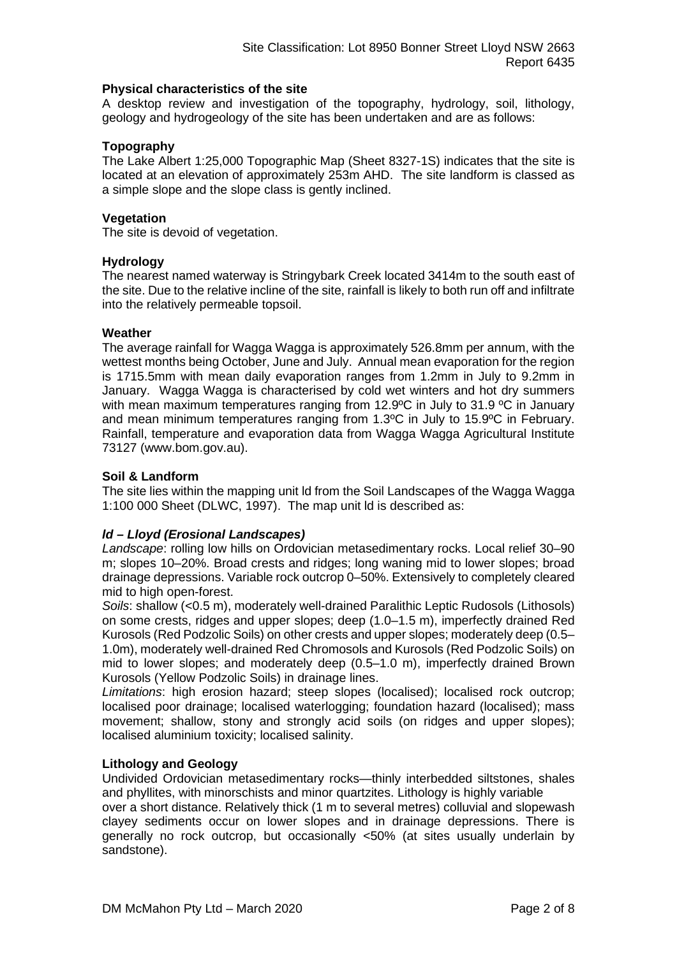#### **Physical characteristics of the site**

A desktop review and investigation of the topography, hydrology, soil, lithology, geology and hydrogeology of the site has been undertaken and are as follows:

#### **Topography**

The Lake Albert 1:25,000 Topographic Map (Sheet 8327-1S) indicates that the site is located at an elevation of approximately 253m AHD. The site landform is classed as a simple slope and the slope class is gently inclined.

#### **Vegetation**

The site is devoid of vegetation.

#### **Hydrology**

The nearest named waterway is Stringybark Creek located 3414m to the south east of the site. Due to the relative incline of the site, rainfall is likely to both run off and infiltrate into the relatively permeable topsoil.

#### **Weather**

The average rainfall for Wagga Wagga is approximately 526.8mm per annum, with the wettest months being October, June and July. Annual mean evaporation for the region is 1715.5mm with mean daily evaporation ranges from 1.2mm in July to 9.2mm in January. Wagga Wagga is characterised by cold wet winters and hot dry summers with mean maximum temperatures ranging from 12.9°C in July to 31.9 °C in January and mean minimum temperatures ranging from 1.3ºC in July to 15.9ºC in February. Rainfall, temperature and evaporation data from Wagga Wagga Agricultural Institute 73127 (www.bom.gov.au).

#### **Soil & Landform**

The site lies within the mapping unit ld from the Soil Landscapes of the Wagga Wagga 1:100 000 Sheet (DLWC, 1997). The map unit ld is described as:

# *ld – Lloyd (Erosional Landscapes)*

*Landscape*: rolling low hills on Ordovician metasedimentary rocks. Local relief 30–90 m; slopes 10–20%. Broad crests and ridges; long waning mid to lower slopes; broad drainage depressions. Variable rock outcrop 0–50%. Extensively to completely cleared mid to high open-forest.

*Soils*: shallow (<0.5 m), moderately well-drained Paralithic Leptic Rudosols (Lithosols) on some crests, ridges and upper slopes; deep (1.0–1.5 m), imperfectly drained Red Kurosols (Red Podzolic Soils) on other crests and upper slopes; moderately deep (0.5– 1.0m), moderately well-drained Red Chromosols and Kurosols (Red Podzolic Soils) on mid to lower slopes; and moderately deep (0.5–1.0 m), imperfectly drained Brown Kurosols (Yellow Podzolic Soils) in drainage lines.

*Limitations*: high erosion hazard; steep slopes (localised); localised rock outcrop; localised poor drainage; localised waterlogging; foundation hazard (localised); mass movement; shallow, stony and strongly acid soils (on ridges and upper slopes); localised aluminium toxicity; localised salinity.

#### **Lithology and Geology**

Undivided Ordovician metasedimentary rocks—thinly interbedded siltstones, shales and phyllites, with minorschists and minor quartzites. Lithology is highly variable

over a short distance. Relatively thick (1 m to several metres) colluvial and slopewash clayey sediments occur on lower slopes and in drainage depressions. There is generally no rock outcrop, but occasionally <50% (at sites usually underlain by sandstone).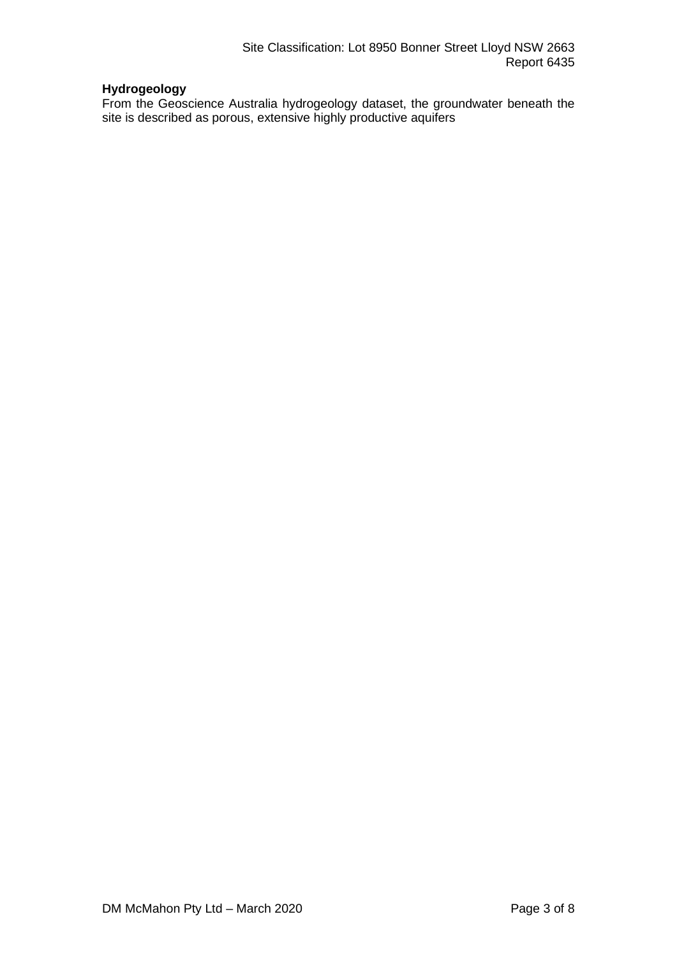# **Hydrogeology**

From the Geoscience Australia hydrogeology dataset, the groundwater beneath the site is described as porous, extensive highly productive aquifers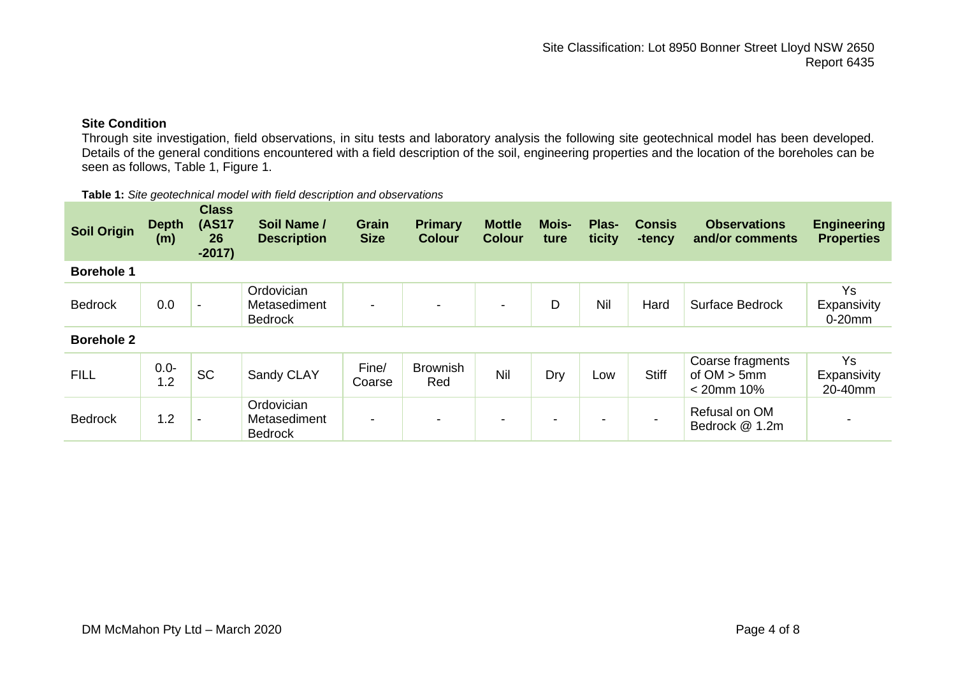# **Site Condition**

Through site investigation, field observations, in situ tests and laboratory analysis the following site geotechnical model has been developed. Details of the general conditions encountered with a field description of the soil, engineering properties and the location of the boreholes can be seen as follows, Table 1, Figure 1.

|                    |                     |                                                | <b>Table 1.</b> Site geotechnical model with held description and observations |                      |                                 |                                |               |                 |                         |                                        |
|--------------------|---------------------|------------------------------------------------|--------------------------------------------------------------------------------|----------------------|---------------------------------|--------------------------------|---------------|-----------------|-------------------------|----------------------------------------|
| <b>Soil Origin</b> | <b>Depth</b><br>(m) | <b>Class</b><br><b>(AS17</b><br>26<br>$-2017)$ | Soil Name /<br><b>Description</b>                                              | Grain<br><b>Size</b> | <b>Primary</b><br><b>Colour</b> | <b>Mottle</b><br><b>Colour</b> | Mois-<br>ture | Plas-<br>ticity | <b>Consis</b><br>-tency | <b>Observations</b><br>and/or comments |
| <b>Borehole 1</b>  |                     |                                                |                                                                                |                      |                                 |                                |               |                 |                         |                                        |
| <b>Bedrock</b>     | 0.0                 |                                                | Ordovician<br>Metasediment<br><b>Bedrock</b>                                   | -                    |                                 | $\overline{\phantom{a}}$       | D             | Nil             | Hard                    | <b>Surface Bedrock</b>                 |
| <b>Borehole 2</b>  |                     |                                                |                                                                                |                      |                                 |                                |               |                 |                         |                                        |

**Table 1:** *Site geotechnical model with field description and observations*

| <b>FILL</b>    | $0.0 -$<br>1.2 | <b>SC</b> | Sandy CLAY                                   | Fine/<br>Coarse | <b>Brownish</b><br>Red | Nil | Dry | ∟ow | <b>Stiff</b> | Coarse fragments<br>of $OM > 5mm$<br>$< 20$ mm 10% | Expansivity<br>20-40mm |
|----------------|----------------|-----------|----------------------------------------------|-----------------|------------------------|-----|-----|-----|--------------|----------------------------------------------------|------------------------|
| <b>Bedrock</b> | $.2\,$         |           | Ordovician<br>Metasediment<br><b>Bedrock</b> |                 |                        | -   | -   |     | -            | Refusal on OM<br>Bedrock @ 1.2m                    |                        |

**Engineering Properties**

Ys **Expansivity** 0-20mm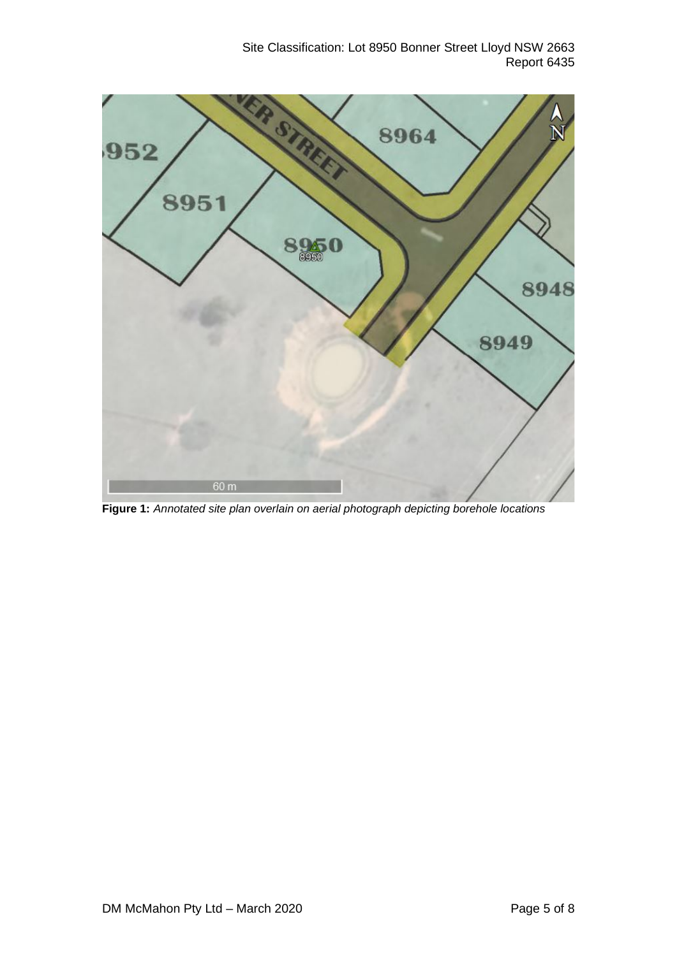Site Classification: Lot 8950 Bonner Street Lloyd NSW 2663 Report 6435



**Figure 1:** *Annotated site plan overlain on aerial photograph depicting borehole locations*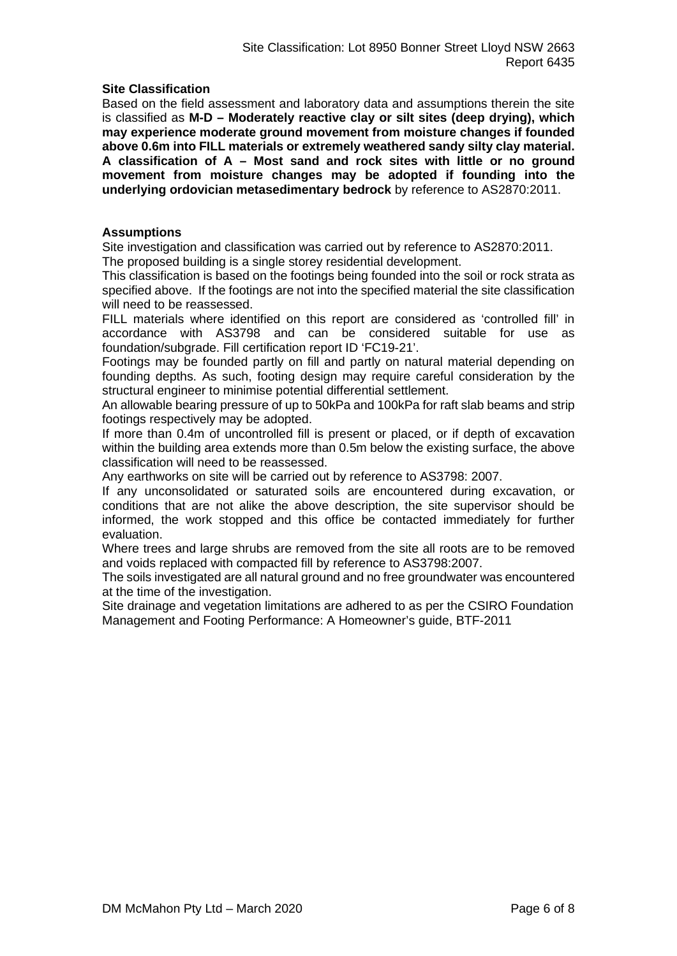#### **Site Classification**

Based on the field assessment and laboratory data and assumptions therein the site is classified as **M-D – Moderately reactive clay or silt sites (deep drying), which may experience moderate ground movement from moisture changes if founded above 0.6m into FILL materials or extremely weathered sandy silty clay material. A classification of A – Most sand and rock sites with little or no ground movement from moisture changes may be adopted if founding into the underlying ordovician metasedimentary bedrock** by reference to AS2870:2011.

#### **Assumptions**

Site investigation and classification was carried out by reference to AS2870:2011.

The proposed building is a single storey residential development.

This classification is based on the footings being founded into the soil or rock strata as specified above. If the footings are not into the specified material the site classification will need to be reassessed.

FILL materials where identified on this report are considered as 'controlled fill' in accordance with AS3798 and can be considered suitable for use as foundation/subgrade. Fill certification report ID 'FC19-21'.

Footings may be founded partly on fill and partly on natural material depending on founding depths. As such, footing design may require careful consideration by the structural engineer to minimise potential differential settlement.

An allowable bearing pressure of up to 50kPa and 100kPa for raft slab beams and strip footings respectively may be adopted.

If more than 0.4m of uncontrolled fill is present or placed, or if depth of excavation within the building area extends more than 0.5m below the existing surface, the above classification will need to be reassessed.

Any earthworks on site will be carried out by reference to AS3798: 2007.

If any unconsolidated or saturated soils are encountered during excavation, or conditions that are not alike the above description, the site supervisor should be informed, the work stopped and this office be contacted immediately for further evaluation.

Where trees and large shrubs are removed from the site all roots are to be removed and voids replaced with compacted fill by reference to AS3798:2007.

The soils investigated are all natural ground and no free groundwater was encountered at the time of the investigation.

Site drainage and vegetation limitations are adhered to as per the CSIRO Foundation Management and Footing Performance: A Homeowner's guide, BTF-2011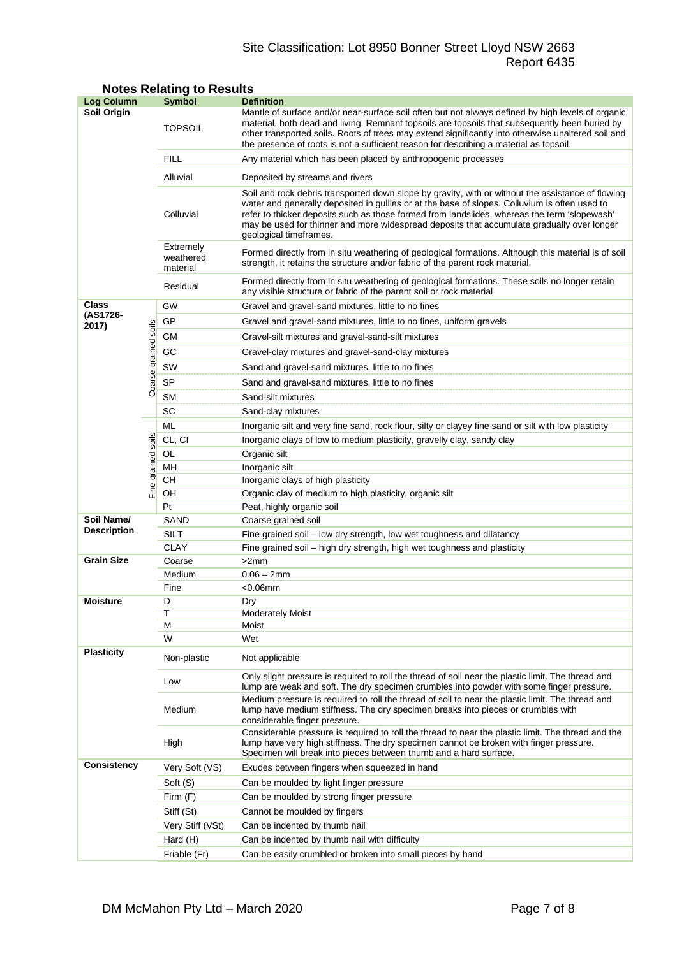# Site Classification: Lot 8950 Bonner Street Lloyd NSW 2663 Report 6435

| <b>Log Column</b>  |                      | <b>Symbol</b>                      | <b>Definition</b>                                                                                                                                                                                                                                                                                                                                                                                                          |  |  |  |  |  |
|--------------------|----------------------|------------------------------------|----------------------------------------------------------------------------------------------------------------------------------------------------------------------------------------------------------------------------------------------------------------------------------------------------------------------------------------------------------------------------------------------------------------------------|--|--|--|--|--|
| Soil Origin        |                      | <b>TOPSOIL</b>                     | Mantle of surface and/or near-surface soil often but not always defined by high levels of organic<br>material, both dead and living. Remnant topsoils are topsoils that subsequently been buried by<br>other transported soils. Roots of trees may extend significantly into otherwise unaltered soil and<br>the presence of roots is not a sufficient reason for describing a material as topsoil.                        |  |  |  |  |  |
|                    |                      | <b>FILL</b>                        | Any material which has been placed by anthropogenic processes                                                                                                                                                                                                                                                                                                                                                              |  |  |  |  |  |
|                    |                      | Alluvial                           | Deposited by streams and rivers                                                                                                                                                                                                                                                                                                                                                                                            |  |  |  |  |  |
|                    |                      | Colluvial                          | Soil and rock debris transported down slope by gravity, with or without the assistance of flowing<br>water and generally deposited in gullies or at the base of slopes. Colluvium is often used to<br>refer to thicker deposits such as those formed from landslides, whereas the term 'slopewash'<br>may be used for thinner and more widespread deposits that accumulate gradually over longer<br>geological timeframes. |  |  |  |  |  |
|                    |                      | Extremely<br>weathered<br>material | Formed directly from in situ weathering of geological formations. Although this material is of soil<br>strength, it retains the structure and/or fabric of the parent rock material.                                                                                                                                                                                                                                       |  |  |  |  |  |
|                    |                      | Residual                           | Formed directly from in situ weathering of geological formations. These soils no longer retain<br>any visible structure or fabric of the parent soil or rock material                                                                                                                                                                                                                                                      |  |  |  |  |  |
| Class              |                      | GW                                 | Gravel and gravel-sand mixtures, little to no fines                                                                                                                                                                                                                                                                                                                                                                        |  |  |  |  |  |
| (AS1726-<br>2017)  |                      | GP                                 | Gravel and gravel-sand mixtures, little to no fines, uniform gravels                                                                                                                                                                                                                                                                                                                                                       |  |  |  |  |  |
|                    |                      | GМ                                 | Gravel-silt mixtures and gravel-sand-silt mixtures                                                                                                                                                                                                                                                                                                                                                                         |  |  |  |  |  |
|                    |                      | GC                                 | Gravel-clay mixtures and gravel-sand-clay mixtures                                                                                                                                                                                                                                                                                                                                                                         |  |  |  |  |  |
|                    |                      | SW                                 | Sand and gravel-sand mixtures, little to no fines                                                                                                                                                                                                                                                                                                                                                                          |  |  |  |  |  |
|                    |                      | <b>SP</b>                          |                                                                                                                                                                                                                                                                                                                                                                                                                            |  |  |  |  |  |
|                    | Coarse grained soils | <b>SM</b>                          | Sand and gravel-sand mixtures, little to no fines                                                                                                                                                                                                                                                                                                                                                                          |  |  |  |  |  |
|                    |                      | SC                                 | Sand-silt mixtures                                                                                                                                                                                                                                                                                                                                                                                                         |  |  |  |  |  |
|                    |                      |                                    | Sand-clay mixtures                                                                                                                                                                                                                                                                                                                                                                                                         |  |  |  |  |  |
|                    |                      | ML                                 | Inorganic silt and very fine sand, rock flour, silty or clayey fine sand or silt with low plasticity                                                                                                                                                                                                                                                                                                                       |  |  |  |  |  |
|                    | soils                | CL, CI                             | Inorganic clays of low to medium plasticity, gravelly clay, sandy clay                                                                                                                                                                                                                                                                                                                                                     |  |  |  |  |  |
|                    |                      | OL<br>MН                           | Organic silt<br>Inorganic silt                                                                                                                                                                                                                                                                                                                                                                                             |  |  |  |  |  |
|                    | Fine grained         | CН                                 | Inorganic clays of high plasticity                                                                                                                                                                                                                                                                                                                                                                                         |  |  |  |  |  |
|                    |                      | OН                                 | Organic clay of medium to high plasticity, organic silt                                                                                                                                                                                                                                                                                                                                                                    |  |  |  |  |  |
|                    |                      | Pt                                 | Peat, highly organic soil                                                                                                                                                                                                                                                                                                                                                                                                  |  |  |  |  |  |
| Soil Name/         |                      | SAND                               | Coarse grained soil                                                                                                                                                                                                                                                                                                                                                                                                        |  |  |  |  |  |
| <b>Description</b> |                      | SILT                               | Fine grained soil - low dry strength, low wet toughness and dilatancy                                                                                                                                                                                                                                                                                                                                                      |  |  |  |  |  |
|                    |                      | <b>CLAY</b>                        | Fine grained soil - high dry strength, high wet toughness and plasticity                                                                                                                                                                                                                                                                                                                                                   |  |  |  |  |  |
| <b>Grain Size</b>  | Coarse               |                                    | >2mm                                                                                                                                                                                                                                                                                                                                                                                                                       |  |  |  |  |  |
|                    |                      | Medium                             | $0.06 - 2mm$                                                                                                                                                                                                                                                                                                                                                                                                               |  |  |  |  |  |
|                    |                      | Fine                               | $<$ 0.06 $<$ mm                                                                                                                                                                                                                                                                                                                                                                                                            |  |  |  |  |  |
| <b>Moisture</b>    |                      | D                                  | Dry                                                                                                                                                                                                                                                                                                                                                                                                                        |  |  |  |  |  |
|                    |                      | Т<br>М                             | <b>Moderately Moist</b><br>Moist                                                                                                                                                                                                                                                                                                                                                                                           |  |  |  |  |  |
|                    |                      | W                                  | Wet                                                                                                                                                                                                                                                                                                                                                                                                                        |  |  |  |  |  |
| <b>Plasticity</b>  |                      | Non-plastic                        | Not applicable                                                                                                                                                                                                                                                                                                                                                                                                             |  |  |  |  |  |
|                    |                      | Low                                | Only slight pressure is required to roll the thread of soil near the plastic limit. The thread and<br>lump are weak and soft. The dry specimen crumbles into powder with some finger pressure.                                                                                                                                                                                                                             |  |  |  |  |  |
|                    |                      | Medium                             | Medium pressure is required to roll the thread of soil to near the plastic limit. The thread and<br>lump have medium stiffness. The dry specimen breaks into pieces or crumbles with<br>considerable finger pressure.                                                                                                                                                                                                      |  |  |  |  |  |
|                    |                      | High                               | Considerable pressure is required to roll the thread to near the plastic limit. The thread and the<br>lump have very high stiffness. The dry specimen cannot be broken with finger pressure.<br>Specimen will break into pieces between thumb and a hard surface.                                                                                                                                                          |  |  |  |  |  |
| <b>Consistency</b> |                      | Very Soft (VS)                     | Exudes between fingers when squeezed in hand                                                                                                                                                                                                                                                                                                                                                                               |  |  |  |  |  |
|                    |                      | Soft (S)                           | Can be moulded by light finger pressure                                                                                                                                                                                                                                                                                                                                                                                    |  |  |  |  |  |
|                    |                      | Firm (F)                           | Can be moulded by strong finger pressure                                                                                                                                                                                                                                                                                                                                                                                   |  |  |  |  |  |
|                    |                      | Stiff (St)                         | Cannot be moulded by fingers                                                                                                                                                                                                                                                                                                                                                                                               |  |  |  |  |  |
|                    |                      | Very Stiff (VSt)                   | Can be indented by thumb nail                                                                                                                                                                                                                                                                                                                                                                                              |  |  |  |  |  |
|                    |                      | Hard (H)                           | Can be indented by thumb nail with difficulty                                                                                                                                                                                                                                                                                                                                                                              |  |  |  |  |  |
|                    |                      | Friable (Fr)                       | Can be easily crumbled or broken into small pieces by hand                                                                                                                                                                                                                                                                                                                                                                 |  |  |  |  |  |

# **Notes Relating to Results**